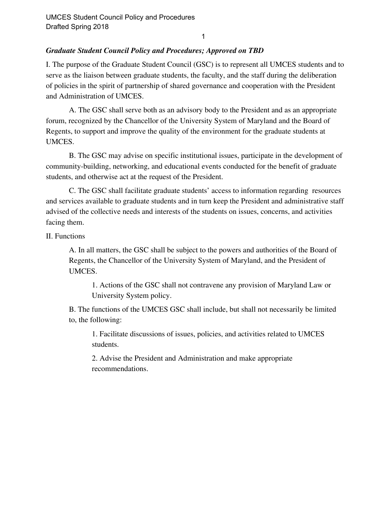1

## *Graduate Student Council Policy and Procedures; Approved on TBD*

I. The purpose of the Graduate Student Council (GSC) is to represent all UMCES students and to serve as the liaison between graduate students, the faculty, and the staff during the deliberation of policies in the spirit of partnership of shared governance and cooperation with the President and Administration of UMCES.

A. The GSC shall serve both as an advisory body to the President and as an appropriate forum, recognized by the Chancellor of the University System of Maryland and the Board of Regents, to support and improve the quality of the environment for the graduate students at UMCES.

B. The GSC may advise on specific institutional issues, participate in the development of community-building, networking, and educational events conducted for the benefit of graduate students, and otherwise act at the request of the President.

C. The GSC shall facilitate graduate students' access to information regarding resources and services available to graduate students and in turn keep the President and administrative staff advised of the collective needs and interests of the students on issues, concerns, and activities facing them.

## II. Functions

A. In all matters, the GSC shall be subject to the powers and authorities of the Board of Regents, the Chancellor of the University System of Maryland, and the President of UMCES.

1. Actions of the GSC shall not contravene any provision of Maryland Law or University System policy.

B. The functions of the UMCES GSC shall include, but shall not necessarily be limited to, the following:

1. Facilitate discussions of issues, policies, and activities related to UMCES students.

2. Advise the President and Administration and make appropriate recommendations.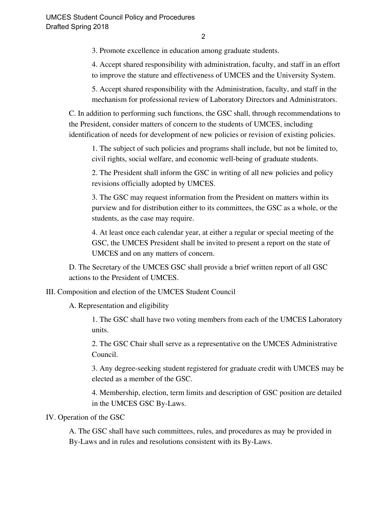3. Promote excellence in education among graduate students.

4. Accept shared responsibility with administration, faculty, and staff in an effort to improve the stature and effectiveness of UMCES and the University System.

5. Accept shared responsibility with the Administration, faculty, and staff in the mechanism for professional review of Laboratory Directors and Administrators.

C. In addition to performing such functions, the GSC shall, through recommendations to the President, consider matters of concern to the students of UMCES, including identification of needs for development of new policies or revision of existing policies.

1. The subject of such policies and programs shall include, but not be limited to, civil rights, social welfare, and economic well-being of graduate students.

2. The President shall inform the GSC in writing of all new policies and policy revisions officially adopted by UMCES.

3. The GSC may request information from the President on matters within its purview and for distribution either to its committees, the GSC as a whole, or the students, as the case may require.

4. At least once each calendar year, at either a regular or special meeting of the GSC, the UMCES President shall be invited to present a report on the state of UMCES and on any matters of concern.

D. The Secretary of the UMCES GSC shall provide a brief written report of all GSC actions to the President of UMCES.

III. Composition and election of the UMCES Student Council

A. Representation and eligibility

1. The GSC shall have two voting members from each of the UMCES Laboratory units.

2. The GSC Chair shall serve as a representative on the UMCES Administrative Council.

3. Any degree-seeking student registered for graduate credit with UMCES may be elected as a member of the GSC.

4. Membership, election, term limits and description of GSC position are detailed in the UMCES GSC By-Laws.

IV. Operation of the GSC

A. The GSC shall have such committees, rules, and procedures as may be provided in By-Laws and in rules and resolutions consistent with its By-Laws.